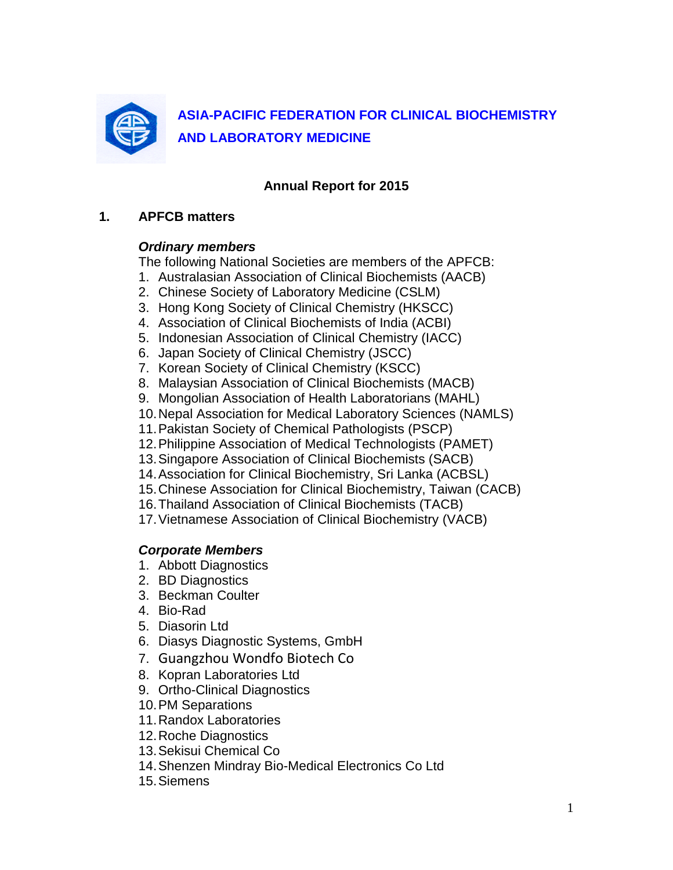

# **Annual Report for 2015**

## **1. APFCB matters**

# *Ordinary members*

The following National Societies are members of the APFCB:

- 1. Australasian Association of Clinical Biochemists (AACB)
- 2. Chinese Society of Laboratory Medicine (CSLM)
- 3. Hong Kong Society of Clinical Chemistry (HKSCC)
- 4. Association of Clinical Biochemists of India (ACBI)
- 5. Indonesian Association of Clinical Chemistry (IACC)
- 6. Japan Society of Clinical Chemistry (JSCC)
- 7. Korean Society of Clinical Chemistry (KSCC)
- 8. Malaysian Association of Clinical Biochemists (MACB)
- 9. Mongolian Association of Health Laboratorians (MAHL)
- 10.Nepal Association for Medical Laboratory Sciences (NAMLS)
- 11.Pakistan Society of Chemical Pathologists (PSCP)
- 12.Philippine Association of Medical Technologists (PAMET)
- 13.Singapore Association of Clinical Biochemists (SACB)
- 14.Association for Clinical Biochemistry, Sri Lanka (ACBSL)
- 15.Chinese Association for Clinical Biochemistry, Taiwan (CACB)
- 16.Thailand Association of Clinical Biochemists (TACB)
- 17.Vietnamese Association of Clinical Biochemistry (VACB)

# *Corporate Members*

- 1. Abbott Diagnostics
- 2. BD Diagnostics
- 3. Beckman Coulter
- 4. Bio-Rad
- 5. Diasorin Ltd
- 6. Diasys Diagnostic Systems, GmbH
- 7. Guangzhou Wondfo Biotech Co
- 8. Kopran Laboratories Ltd
- 9. Ortho-Clinical Diagnostics
- 10.PM Separations
- 11.Randox Laboratories
- 12.Roche Diagnostics
- 13.Sekisui Chemical Co
- 14.Shenzen Mindray Bio-Medical Electronics Co Ltd
- 15.Siemens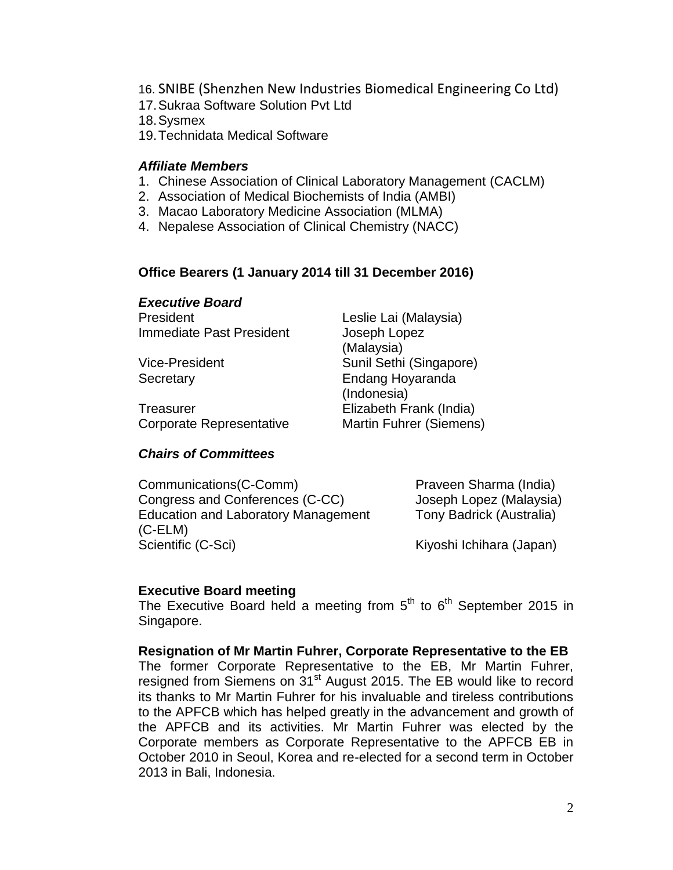- 16. SNIBE (Shenzhen New Industries Biomedical Engineering Co Ltd)
- 17.Sukraa Software Solution Pvt Ltd

18.Sysmex

19.Technidata Medical Software

#### *Affiliate Members*

- 1. Chinese Association of Clinical Laboratory Management (CACLM)
- 2. Association of Medical Biochemists of India (AMBI)
- 3. Macao Laboratory Medicine Association (MLMA)
- 4. Nepalese Association of Clinical Chemistry (NACC)

## **Office Bearers (1 January 2014 till 31 December 2016)**

#### *Executive Board*

President Leslie Lai (Malaysia) Immediate Past President Joseph Lopez

Treasurer Elizabeth Frank (India) Corporate Representative Martin Fuhrer (Siemens)

*Chairs of Committees*

(Malaysia) Vice-President Sunil Sethi (Singapore) Secretary **Endang Hoyaranda** (Indonesia)

Communications(C-Comm) Praveen Sharma (India) Congress and Conferences (C-CC) Joseph Lopez (Malaysia) Education and Laboratory Management Tony Badrick (Australia) (C-ELM) Scientific (C-Sci) Kiyoshi Ichihara (Japan)

### **Executive Board meeting**

The Executive Board held a meeting from  $5<sup>th</sup>$  to  $6<sup>th</sup>$  September 2015 in Singapore.

### **Resignation of Mr Martin Fuhrer, Corporate Representative to the EB**

The former Corporate Representative to the EB, Mr Martin Fuhrer, resigned from Siemens on 31<sup>st</sup> August 2015. The EB would like to record its thanks to Mr Martin Fuhrer for his invaluable and tireless contributions to the APFCB which has helped greatly in the advancement and growth of the APFCB and its activities. Mr Martin Fuhrer was elected by the Corporate members as Corporate Representative to the APFCB EB in October 2010 in Seoul, Korea and re-elected for a second term in October 2013 in Bali, Indonesia.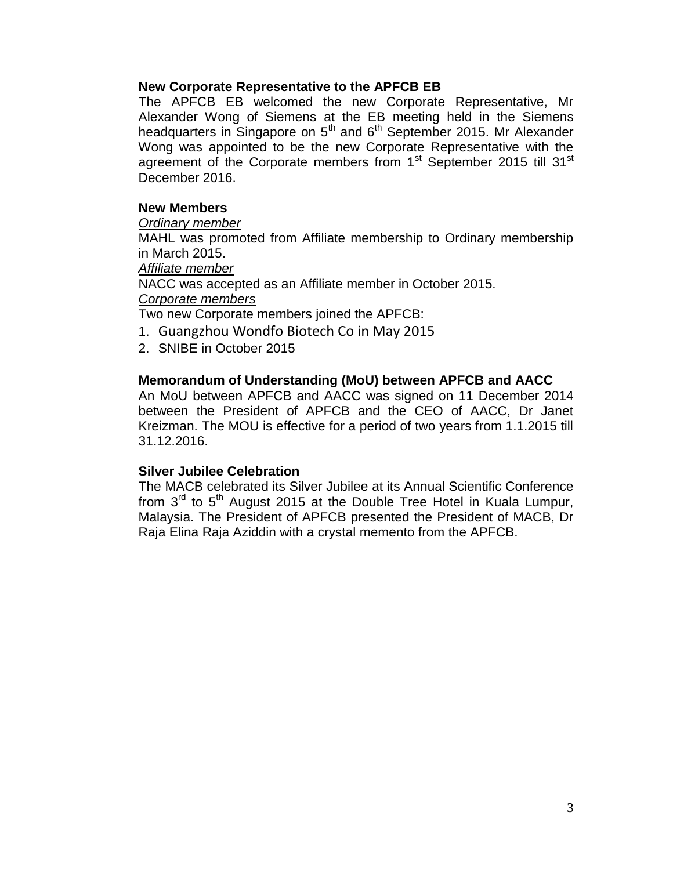#### **New Corporate Representative to the APFCB EB**

The APFCB EB welcomed the new Corporate Representative, Mr Alexander Wong of Siemens at the EB meeting held in the Siemens headquarters in Singapore on  $5<sup>th</sup>$  and  $6<sup>th</sup>$  September 2015. Mr Alexander Wong was appointed to be the new Corporate Representative with the agreement of the Corporate members from 1<sup>st</sup> September 2015 till 31<sup>st</sup> December 2016.

#### **New Members**

*Ordinary member*

MAHL was promoted from Affiliate membership to Ordinary membership in March 2015.

*Affiliate member*

NACC was accepted as an Affiliate member in October 2015. *Corporate members*

Two new Corporate members joined the APFCB:

- 1. Guangzhou Wondfo Biotech Co in May 2015
- 2. SNIBE in October 2015

#### **Memorandum of Understanding (MoU) between APFCB and AACC**

An MoU between APFCB and AACC was signed on 11 December 2014 between the President of APFCB and the CEO of AACC, Dr Janet Kreizman. The MOU is effective for a period of two years from 1.1.2015 till 31.12.2016.

#### **Silver Jubilee Celebration**

The MACB celebrated its Silver Jubilee at its Annual Scientific Conference from  $3<sup>rd</sup>$  to  $5<sup>th</sup>$  August 2015 at the Double Tree Hotel in Kuala Lumpur, Malaysia. The President of APFCB presented the President of MACB, Dr Raja Elina Raja Aziddin with a crystal memento from the APFCB.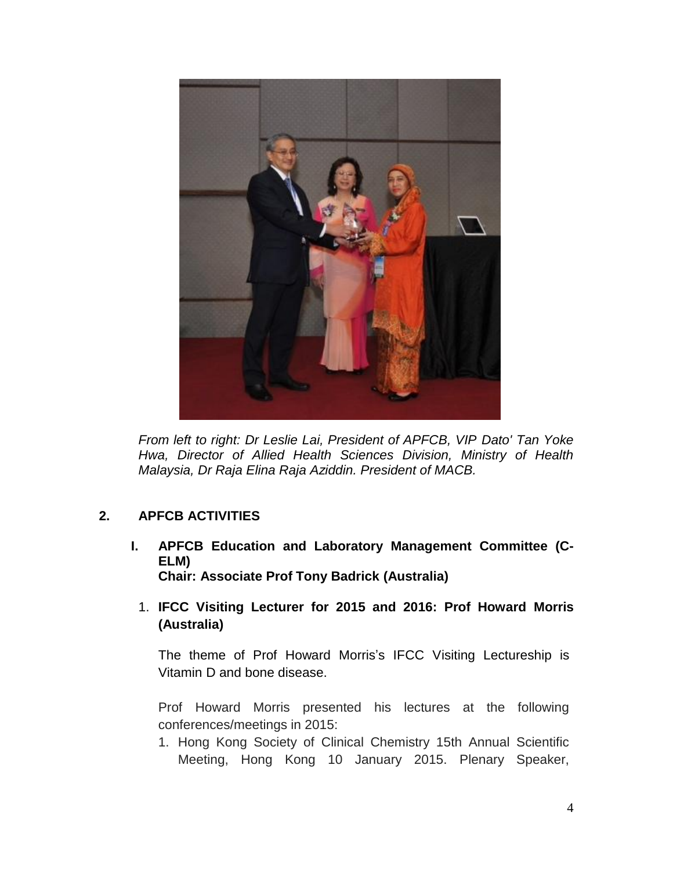

*From left to right: Dr Leslie Lai, President of APFCB, VIP Dato' Tan Yoke Hwa, Director of Allied Health Sciences Division, Ministry of Health Malaysia, Dr Raja Elina Raja Aziddin. President of MACB.*

# **2. APFCB ACTIVITIES**

- **I. APFCB Education and Laboratory Management Committee (C-ELM) Chair: Associate Prof Tony Badrick (Australia)**
	- 1. **IFCC Visiting Lecturer for 2015 and 2016: Prof Howard Morris (Australia)**

The theme of Prof Howard Morris's IFCC Visiting Lectureship is Vitamin D and bone disease.

Prof Howard Morris presented his lectures at the following conferences/meetings in 2015:

1. Hong Kong Society of Clinical Chemistry 15th Annual Scientific Meeting, Hong Kong 10 January 2015. Plenary Speaker,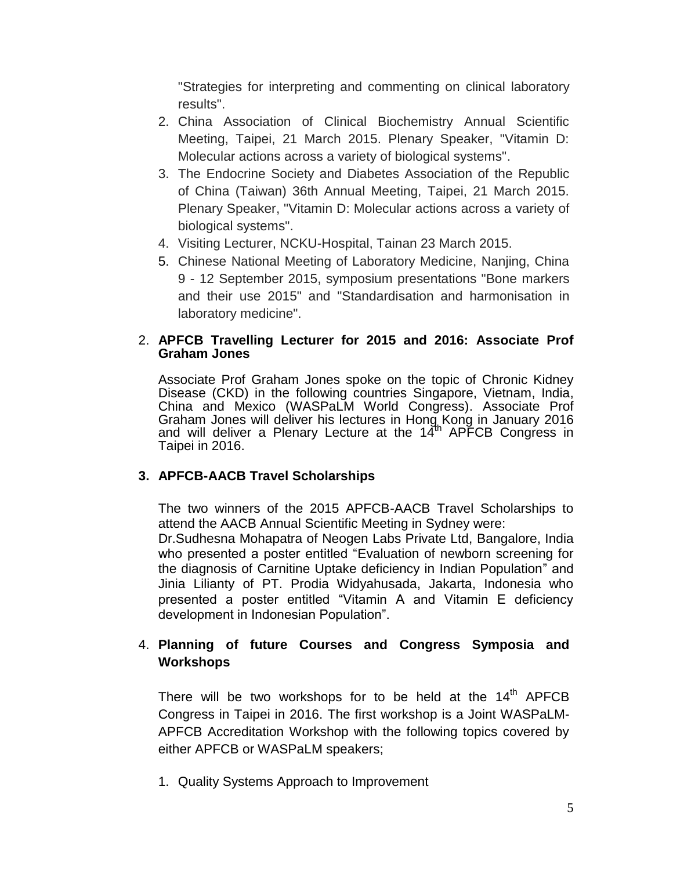"Strategies for interpreting and commenting on clinical laboratory results".

- 2. China Association of Clinical Biochemistry Annual Scientific Meeting, Taipei, 21 March 2015. Plenary Speaker, "Vitamin D: Molecular actions across a variety of biological systems".
- 3. The Endocrine Society and Diabetes Association of the Republic of China (Taiwan) 36th Annual Meeting, Taipei, 21 March 2015. Plenary Speaker, "Vitamin D: Molecular actions across a variety of biological systems".
- 4. Visiting Lecturer, NCKU-Hospital, Tainan 23 March 2015.
- 5. Chinese National Meeting of Laboratory Medicine, Nanjing, China 9 - 12 September 2015, symposium presentations "Bone markers and their use 2015" and "Standardisation and harmonisation in laboratory medicine".

### 2. **APFCB Travelling Lecturer for 2015 and 2016: Associate Prof Graham Jones**

Associate Prof Graham Jones spoke on the topic of Chronic Kidney Disease (CKD) in the following countries Singapore, Vietnam, India, China and Mexico (WASPaLM World Congress). Associate Prof Graham Jones will deliver his lectures in Hong Kong in January 2016 and will deliver a Plenary Lecture at the 14<sup>th</sup> APFCB Congress in Taipei in 2016.

# **3. APFCB-AACB Travel Scholarships**

The two winners of the 2015 APFCB-AACB Travel Scholarships to attend the AACB Annual Scientific Meeting in Sydney were:

Dr.Sudhesna Mohapatra of Neogen Labs Private Ltd, Bangalore, India who presented a poster entitled "Evaluation of newborn screening for the diagnosis of Carnitine Uptake deficiency in Indian Population" and Jinia Lilianty of PT. Prodia Widyahusada, Jakarta, Indonesia who presented a poster entitled "Vitamin A and Vitamin E deficiency development in Indonesian Population".

# 4. **Planning of future Courses and Congress Symposia and Workshops**

There will be two workshops for to be held at the  $14<sup>th</sup>$  APFCB Congress in Taipei in 2016. The first workshop is a Joint WASPaLM-APFCB Accreditation Workshop with the following topics covered by either APFCB or WASPaLM speakers;

1. Quality Systems Approach to Improvement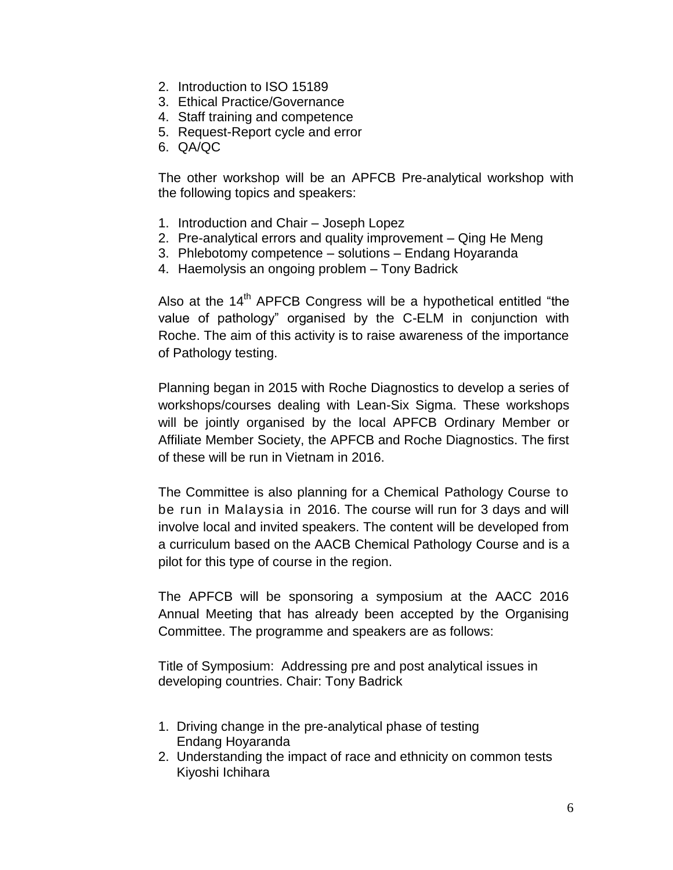- 2. Introduction to ISO 15189
- 3. Ethical Practice/Governance
- 4. Staff training and competence
- 5. Request-Report cycle and error
- 6. QA/QC

The other workshop will be an APFCB Pre-analytical workshop with the following topics and speakers:

- 1. Introduction and Chair Joseph Lopez
- 2. Pre-analytical errors and quality improvement Qing He Meng
- 3. Phlebotomy competence solutions Endang Hoyaranda
- 4. Haemolysis an ongoing problem Tony Badrick

Also at the 14<sup>th</sup> APFCB Congress will be a hypothetical entitled "the value of pathology" organised by the C-ELM in conjunction with Roche. The aim of this activity is to raise awareness of the importance of Pathology testing.

 Planning began in 2015 with Roche Diagnostics to develop a series of workshops/courses dealing with Lean-Six Sigma. These workshops will be jointly organised by the local APFCB Ordinary Member or Affiliate Member Society, the APFCB and Roche Diagnostics. The first of these will be run in Vietnam in 2016.

The Committee is also planning for a Chemical Pathology Course to be run in Malaysia in 2016. The course will run for 3 days and will involve local and invited speakers. The content will be developed from a curriculum based on the AACB Chemical Pathology Course and is a pilot for this type of course in the region.

The APFCB will be sponsoring a symposium at the AACC 2016 Annual Meeting that has already been accepted by the Organising Committee. The programme and speakers are as follows:

Title of Symposium: Addressing pre and post analytical issues in developing countries. Chair: Tony Badrick

- 1. Driving change in the pre-analytical phase of testing Endang Hoyaranda
- 2. Understanding the impact of race and ethnicity on common tests Kiyoshi Ichihara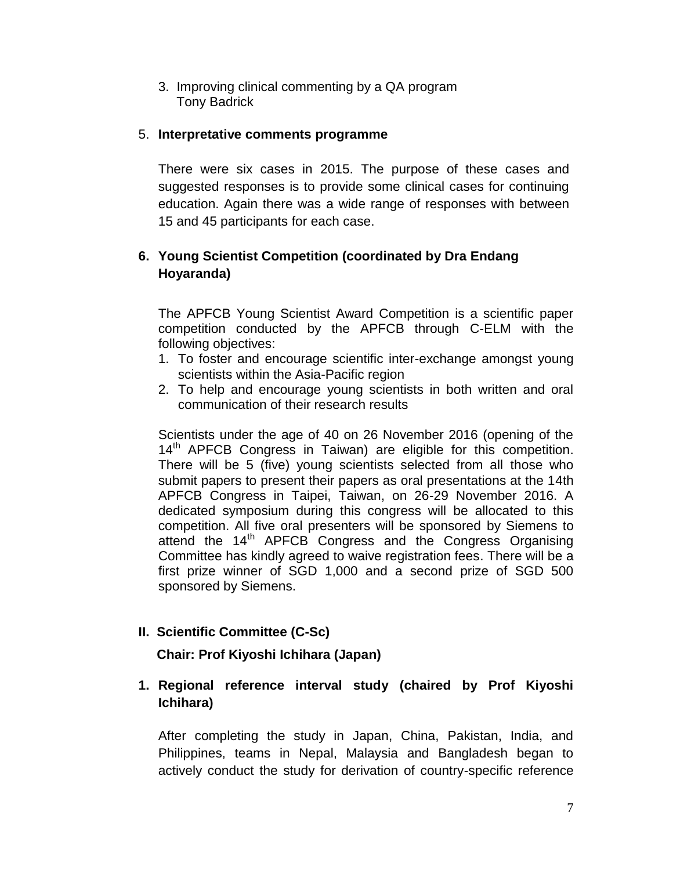3. Improving clinical commenting by a QA program Tony Badrick

## 5. **Interpretative comments programme**

There were six cases in 2015. The purpose of these cases and suggested responses is to provide some clinical cases for continuing education. Again there was a wide range of responses with between 15 and 45 participants for each case.

# **6. Young Scientist Competition (coordinated by Dra Endang Hoyaranda)**

The APFCB Young Scientist Award Competition is a scientific paper competition conducted by the APFCB through C-ELM with the following objectives:

- 1. To foster and encourage scientific inter-exchange amongst young scientists within the Asia-Pacific region
- 2. To help and encourage young scientists in both written and oral communication of their research results

Scientists under the age of 40 on 26 November 2016 (opening of the 14<sup>th</sup> APFCB Congress in Taiwan) are eligible for this competition. There will be 5 (five) young scientists selected from all those who submit papers to present their papers as oral presentations at the 14th APFCB Congress in Taipei, Taiwan, on 26-29 November 2016. A dedicated symposium during this congress will be allocated to this competition. All five oral presenters will be sponsored by Siemens to attend the 14<sup>th</sup> APFCB Congress and the Congress Organising Committee has kindly agreed to waive registration fees. There will be a first prize winner of SGD 1,000 and a second prize of SGD 500 sponsored by Siemens.

# **II. Scientific Committee (C-Sc)**

 **Chair: Prof Kiyoshi Ichihara (Japan)**

# **1. Regional reference interval study (chaired by Prof Kiyoshi Ichihara)**

After completing the study in Japan, China, Pakistan, India, and Philippines, teams in Nepal, Malaysia and Bangladesh began to actively conduct the study for derivation of country-specific reference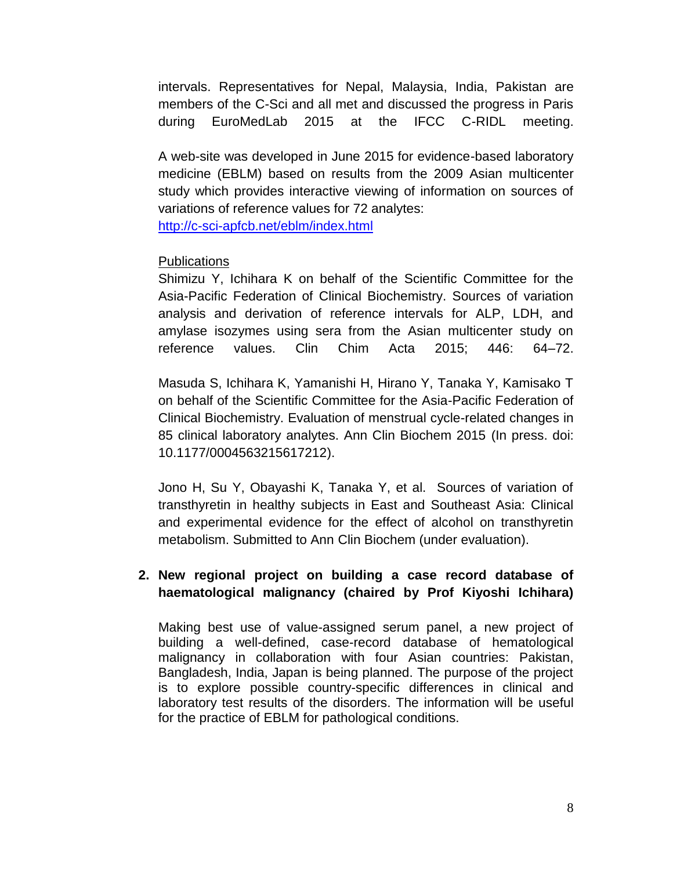intervals. Representatives for Nepal, Malaysia, India, Pakistan are members of the C-Sci and all met and discussed the progress in Paris during EuroMedLab 2015 at the IFCC C-RIDL meeting.

A web-site was developed in June 2015 for evidence-based laboratory medicine (EBLM) based on results from the 2009 Asian multicenter study which provides interactive viewing of information on sources of variations of reference values for 72 analytes: <http://c-sci-apfcb.net/eblm/index.html>

## Publications

Shimizu Y, Ichihara K on behalf of the Scientific Committee for the Asia-Pacific Federation of Clinical Biochemistry. Sources of variation analysis and derivation of reference intervals for ALP, LDH, and amylase isozymes using sera from the Asian multicenter study on reference values. Clin Chim Acta 2015; 446: 64–72.

Masuda S, Ichihara K, Yamanishi H, Hirano Y, Tanaka Y, Kamisako T on behalf of the Scientific Committee for the Asia-Pacific Federation of Clinical Biochemistry. Evaluation of menstrual cycle-related changes in 85 clinical laboratory analytes. Ann Clin Biochem 2015 (In press. doi: 10.1177/0004563215617212).

Jono H, Su Y, Obayashi K, Tanaka Y, et al. Sources of variation of transthyretin in healthy subjects in East and Southeast Asia: Clinical and experimental evidence for the effect of alcohol on transthyretin metabolism. Submitted to Ann Clin Biochem (under evaluation).

# **2. New regional project on building a case record database of haematological malignancy (chaired by Prof Kiyoshi Ichihara)**

Making best use of value-assigned serum panel, a new project of building a well-defined, case-record database of hematological malignancy in collaboration with four Asian countries: Pakistan, Bangladesh, India, Japan is being planned. The purpose of the project is to explore possible country-specific differences in clinical and laboratory test results of the disorders. The information will be useful for the practice of EBLM for pathological conditions.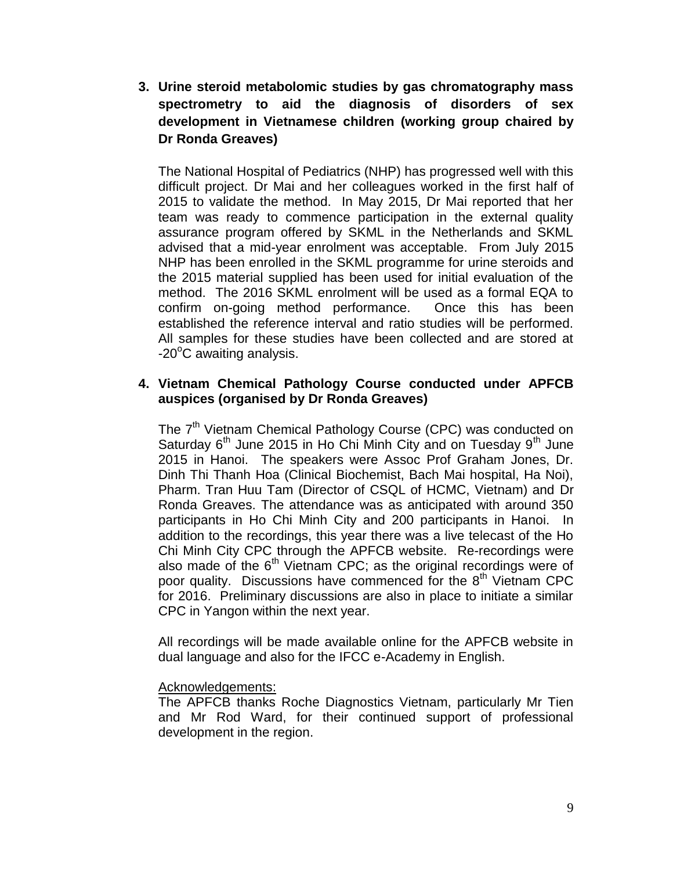**3. Urine steroid metabolomic studies by gas chromatography mass spectrometry to aid the diagnosis of disorders of sex development in Vietnamese children (working group chaired by Dr Ronda Greaves)**

The National Hospital of Pediatrics (NHP) has progressed well with this difficult project. Dr Mai and her colleagues worked in the first half of 2015 to validate the method. In May 2015, Dr Mai reported that her team was ready to commence participation in the external quality assurance program offered by SKML in the Netherlands and SKML advised that a mid-year enrolment was acceptable. From July 2015 NHP has been enrolled in the SKML programme for urine steroids and the 2015 material supplied has been used for initial evaluation of the method. The 2016 SKML enrolment will be used as a formal EQA to confirm on-going method performance. Once this has been established the reference interval and ratio studies will be performed. All samples for these studies have been collected and are stored at  $-20^{\circ}$ C awaiting analysis.

## **4. Vietnam Chemical Pathology Course conducted under APFCB auspices (organised by Dr Ronda Greaves)**

The 7<sup>th</sup> Vietnam Chemical Pathology Course (CPC) was conducted on Saturday  $6<sup>th</sup>$  June 2015 in Ho Chi Minh City and on Tuesday  $9<sup>th</sup>$  June 2015 in Hanoi. The speakers were Assoc Prof Graham Jones, Dr. Dinh Thi Thanh Hoa (Clinical Biochemist, Bach Mai hospital, Ha Noi), Pharm. Tran Huu Tam (Director of CSQL of HCMC, Vietnam) and Dr Ronda Greaves. The attendance was as anticipated with around 350 participants in Ho Chi Minh City and 200 participants in Hanoi. In addition to the recordings, this year there was a live telecast of the Ho Chi Minh City CPC through the APFCB website. Re-recordings were also made of the  $6<sup>th</sup>$  Vietnam CPC; as the original recordings were of poor quality. Discussions have commenced for the 8<sup>th</sup> Vietnam CPC for 2016. Preliminary discussions are also in place to initiate a similar CPC in Yangon within the next year.

All recordings will be made available online for the APFCB website in dual language and also for the IFCC e-Academy in English.

### Acknowledgements:

The APFCB thanks Roche Diagnostics Vietnam, particularly Mr Tien and Mr Rod Ward, for their continued support of professional development in the region.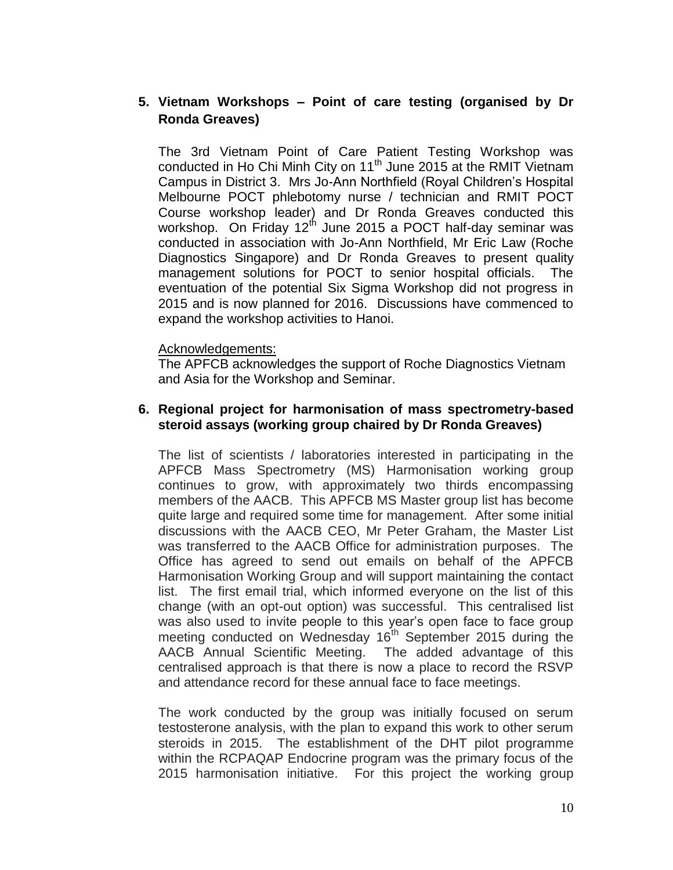# **5. Vietnam Workshops – Point of care testing (organised by Dr Ronda Greaves)**

The 3rd Vietnam Point of Care Patient Testing Workshop was conducted in Ho Chi Minh City on 11<sup>th</sup> June 2015 at the RMIT Vietnam Campus in District 3. Mrs Jo-Ann Northfield (Royal Children's Hospital Melbourne POCT phlebotomy nurse / technician and RMIT POCT Course workshop leader) and Dr Ronda Greaves conducted this workshop. On Friday 12<sup>th</sup> June 2015 a POCT half-day seminar was conducted in association with Jo-Ann Northfield, Mr Eric Law (Roche Diagnostics Singapore) and Dr Ronda Greaves to present quality management solutions for POCT to senior hospital officials. The eventuation of the potential Six Sigma Workshop did not progress in 2015 and is now planned for 2016. Discussions have commenced to expand the workshop activities to Hanoi.

#### Acknowledgements:

The APFCB acknowledges the support of Roche Diagnostics Vietnam and Asia for the Workshop and Seminar.

#### **6. Regional project for harmonisation of mass spectrometry-based steroid assays (working group chaired by Dr Ronda Greaves)**

The list of scientists / laboratories interested in participating in the APFCB Mass Spectrometry (MS) Harmonisation working group continues to grow, with approximately two thirds encompassing members of the AACB. This APFCB MS Master group list has become quite large and required some time for management. After some initial discussions with the AACB CEO, Mr Peter Graham, the Master List was transferred to the AACB Office for administration purposes. The Office has agreed to send out emails on behalf of the APFCB Harmonisation Working Group and will support maintaining the contact list. The first email trial, which informed everyone on the list of this change (with an opt-out option) was successful. This centralised list was also used to invite people to this year's open face to face group meeting conducted on Wednesday 16<sup>th</sup> September 2015 during the AACB Annual Scientific Meeting. The added advantage of this centralised approach is that there is now a place to record the RSVP and attendance record for these annual face to face meetings.

The work conducted by the group was initially focused on serum testosterone analysis, with the plan to expand this work to other serum steroids in 2015. The establishment of the DHT pilot programme within the RCPAQAP Endocrine program was the primary focus of the 2015 harmonisation initiative. For this project the working group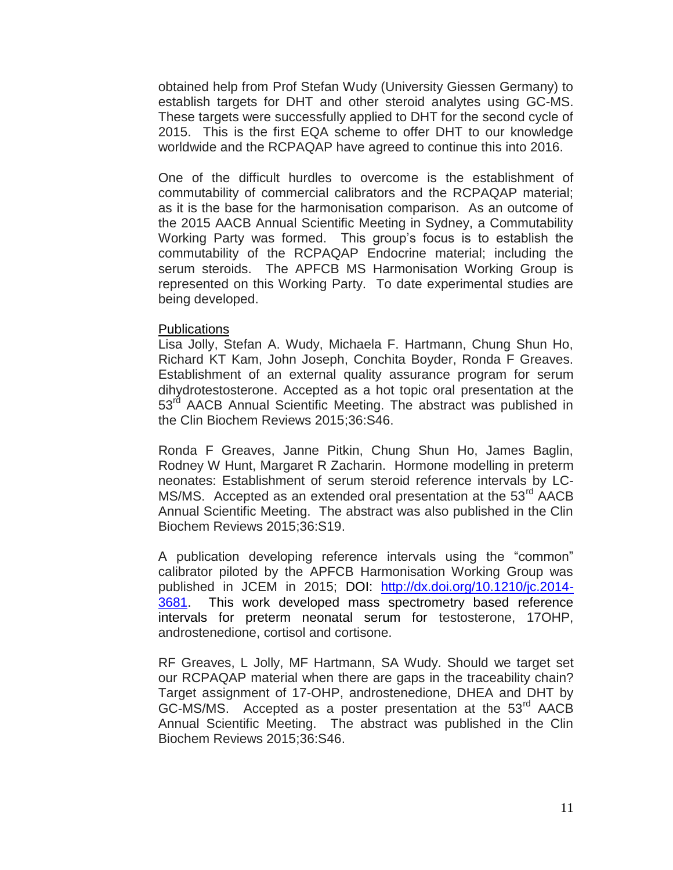obtained help from Prof Stefan Wudy (University Giessen Germany) to establish targets for DHT and other steroid analytes using GC-MS. These targets were successfully applied to DHT for the second cycle of 2015. This is the first EQA scheme to offer DHT to our knowledge worldwide and the RCPAQAP have agreed to continue this into 2016.

One of the difficult hurdles to overcome is the establishment of commutability of commercial calibrators and the RCPAQAP material; as it is the base for the harmonisation comparison. As an outcome of the 2015 AACB Annual Scientific Meeting in Sydney, a Commutability Working Party was formed. This group's focus is to establish the commutability of the RCPAQAP Endocrine material; including the serum steroids. The APFCB MS Harmonisation Working Group is represented on this Working Party. To date experimental studies are being developed.

#### Publications

Lisa Jolly, Stefan A. Wudy, Michaela F. Hartmann, Chung Shun Ho, Richard KT Kam, John Joseph, Conchita Boyder, Ronda F Greaves. Establishment of an external quality assurance program for serum dihydrotestosterone. Accepted as a hot topic oral presentation at the 53<sup>rd</sup> AACB Annual Scientific Meeting. The abstract was published in the Clin Biochem Reviews 2015;36:S46.

Ronda F Greaves, Janne Pitkin, Chung Shun Ho, James Baglin, Rodney W Hunt, Margaret R Zacharin. Hormone modelling in preterm neonates: Establishment of serum steroid reference intervals by LC-MS/MS. Accepted as an extended oral presentation at the 53<sup>rd</sup> AACB Annual Scientific Meeting. The abstract was also published in the Clin Biochem Reviews 2015;36:S19.

A publication developing reference intervals using the "common" calibrator piloted by the APFCB Harmonisation Working Group was published in JCEM in 2015; DOI: [http://dx.doi.org/10.1210/jc.2014-](http://dx.doi.org/10.1210/jc.2014-3681) [3681.](http://dx.doi.org/10.1210/jc.2014-3681) This work developed mass spectrometry based reference intervals for preterm neonatal serum for testosterone, 17OHP, androstenedione, cortisol and cortisone.

RF Greaves, L Jolly, MF Hartmann, SA Wudy. Should we target set our RCPAQAP material when there are gaps in the traceability chain? Target assignment of 17-OHP, androstenedione, DHEA and DHT by GC-MS/MS. Accepted as a poster presentation at the 53<sup>rd</sup> AACB Annual Scientific Meeting. The abstract was published in the Clin Biochem Reviews 2015;36:S46.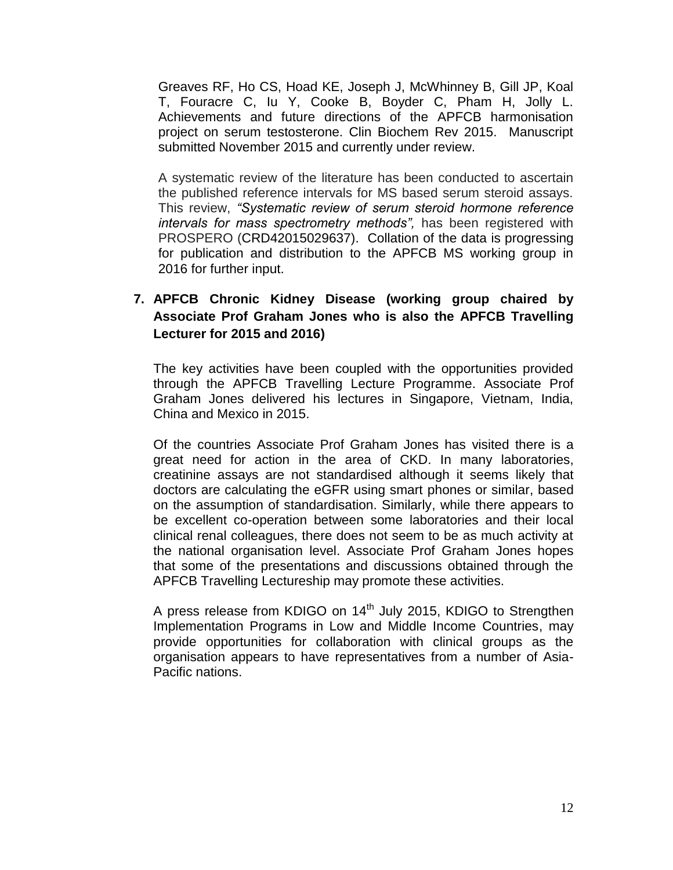Greaves RF, Ho CS, Hoad KE, Joseph J, McWhinney B, Gill JP, Koal T, Fouracre C, Iu Y, Cooke B, Boyder C, Pham H, Jolly L. Achievements and future directions of the APFCB harmonisation project on serum testosterone. Clin Biochem Rev 2015. Manuscript submitted November 2015 and currently under review.

A systematic review of the literature has been conducted to ascertain the published reference intervals for MS based serum steroid assays. This review, *"Systematic review of serum steroid hormone reference intervals for mass spectrometry methods",* has been registered with PROSPERO (CRD42015029637). Collation of the data is progressing for publication and distribution to the APFCB MS working group in 2016 for further input.

# **7. APFCB Chronic Kidney Disease (working group chaired by Associate Prof Graham Jones who is also the APFCB Travelling Lecturer for 2015 and 2016)**

The key activities have been coupled with the opportunities provided through the APFCB Travelling Lecture Programme. Associate Prof Graham Jones delivered his lectures in Singapore, Vietnam, India, China and Mexico in 2015.

Of the countries Associate Prof Graham Jones has visited there is a great need for action in the area of CKD. In many laboratories, creatinine assays are not standardised although it seems likely that doctors are calculating the eGFR using smart phones or similar, based on the assumption of standardisation. Similarly, while there appears to be excellent co-operation between some laboratories and their local clinical renal colleagues, there does not seem to be as much activity at the national organisation level. Associate Prof Graham Jones hopes that some of the presentations and discussions obtained through the APFCB Travelling Lectureship may promote these activities.

A press release from KDIGO on 14<sup>th</sup> July 2015, KDIGO to Strengthen Implementation Programs in Low and Middle Income Countries, may provide opportunities for collaboration with clinical groups as the organisation appears to have representatives from a number of Asia-Pacific nations.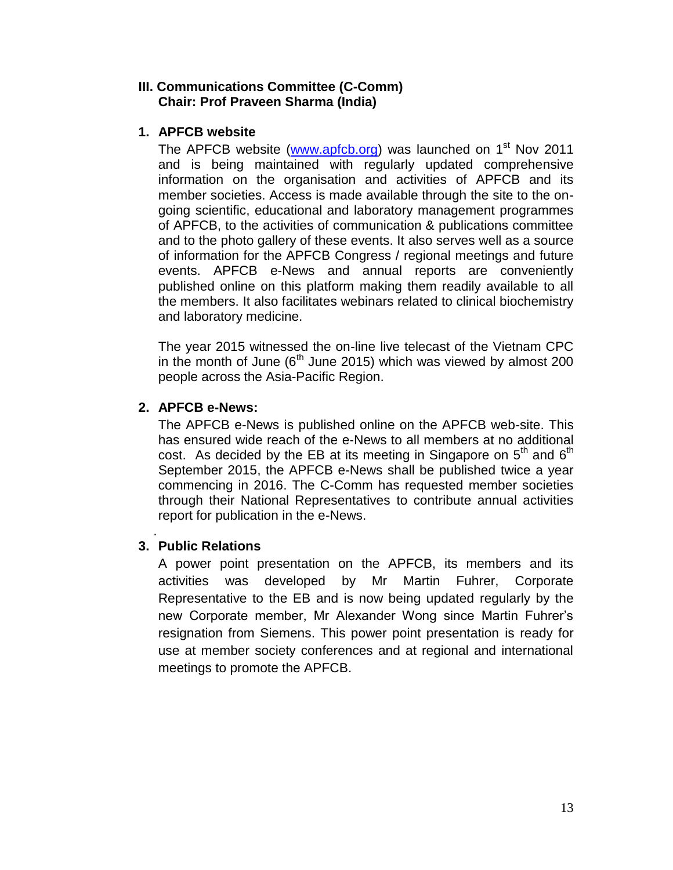### **III. Communications Committee (C-Comm) Chair: Prof Praveen Sharma (India)**

### **1. APFCB website**

The APFCB website [\(www.apfcb.org\)](http://www.apfcb.org/) was launched on 1<sup>st</sup> Nov 2011 and is being maintained with regularly updated comprehensive information on the organisation and activities of APFCB and its member societies. Access is made available through the site to the ongoing scientific, educational and laboratory management programmes of APFCB, to the activities of communication & publications committee and to the photo gallery of these events. It also serves well as a source of information for the APFCB Congress / regional meetings and future events. APFCB e-News and annual reports are conveniently published online on this platform making them readily available to all the members. It also facilitates webinars related to clinical biochemistry and laboratory medicine.

The year 2015 witnessed the on-line live telecast of the Vietnam CPC in the month of June ( $6<sup>th</sup>$  June 2015) which was viewed by almost 200 people across the Asia-Pacific Region.

## **2. APFCB e-News:**

The APFCB e-News is published online on the APFCB web-site. This has ensured wide reach of the e-News to all members at no additional cost. As decided by the EB at its meeting in Singapore on  $5<sup>th</sup>$  and  $6<sup>th</sup>$ September 2015, the APFCB e-News shall be published twice a year commencing in 2016. The C-Comm has requested member societies through their National Representatives to contribute annual activities report for publication in the e-News.

#### . **3. Public Relations**

A power point presentation on the APFCB, its members and its activities was developed by Mr Martin Fuhrer, Corporate Representative to the EB and is now being updated regularly by the new Corporate member, Mr Alexander Wong since Martin Fuhrer's resignation from Siemens. This power point presentation is ready for use at member society conferences and at regional and international meetings to promote the APFCB.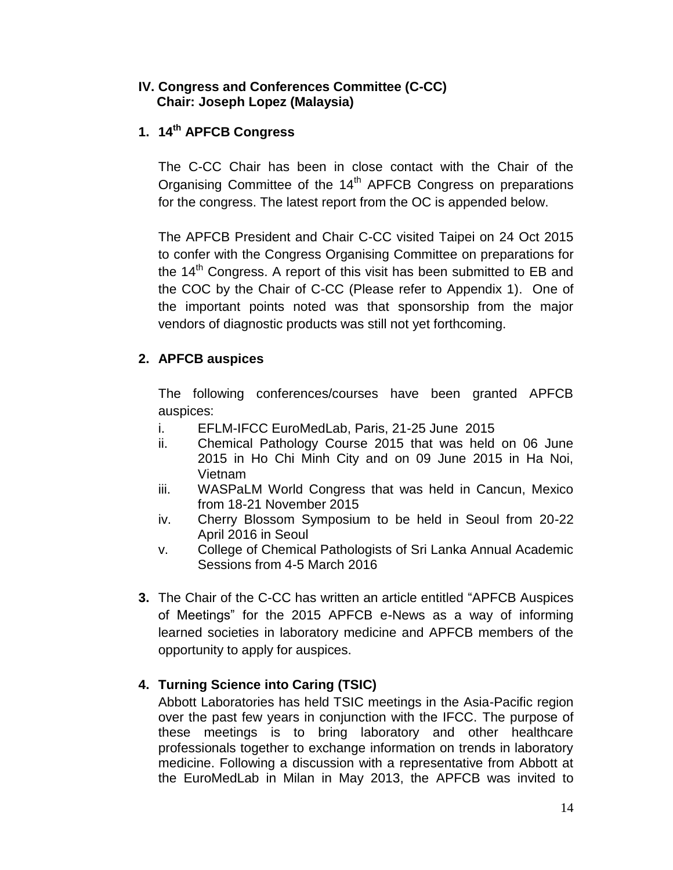## **IV. Congress and Conferences Committee (C-CC) Chair: Joseph Lopez (Malaysia)**

# **1. 14th APFCB Congress**

The C-CC Chair has been in close contact with the Chair of the Organising Committee of the 14<sup>th</sup> APFCB Congress on preparations for the congress. The latest report from the OC is appended below.

The APFCB President and Chair C-CC visited Taipei on 24 Oct 2015 to confer with the Congress Organising Committee on preparations for the 14<sup>th</sup> Congress. A report of this visit has been submitted to EB and the COC by the Chair of C-CC (Please refer to Appendix 1). One of the important points noted was that sponsorship from the major vendors of diagnostic products was still not yet forthcoming.

# **2. APFCB auspices**

The following conferences/courses have been granted APFCB auspices:

- i. EFLM-IFCC EuroMedLab, Paris, 21-25 June 2015
- ii. Chemical Pathology Course 2015 that was held on 06 June 2015 in Ho Chi Minh City and on 09 June 2015 in Ha Noi, Vietnam
- iii. WASPaLM World Congress that was held in Cancun, Mexico from 18-21 November 2015
- iv. Cherry Blossom Symposium to be held in Seoul from 20-22 April 2016 in Seoul
- v. College of Chemical Pathologists of Sri Lanka Annual Academic Sessions from 4-5 March 2016
- **3.** The Chair of the C-CC has written an article entitled "APFCB Auspices of Meetings" for the 2015 APFCB e-News as a way of informing learned societies in laboratory medicine and APFCB members of the opportunity to apply for auspices.

# **4. Turning Science into Caring (TSIC)**

Abbott Laboratories has held TSIC meetings in the Asia-Pacific region over the past few years in conjunction with the IFCC. The purpose of these meetings is to bring laboratory and other healthcare professionals together to exchange information on trends in laboratory medicine. Following a discussion with a representative from Abbott at the EuroMedLab in Milan in May 2013, the APFCB was invited to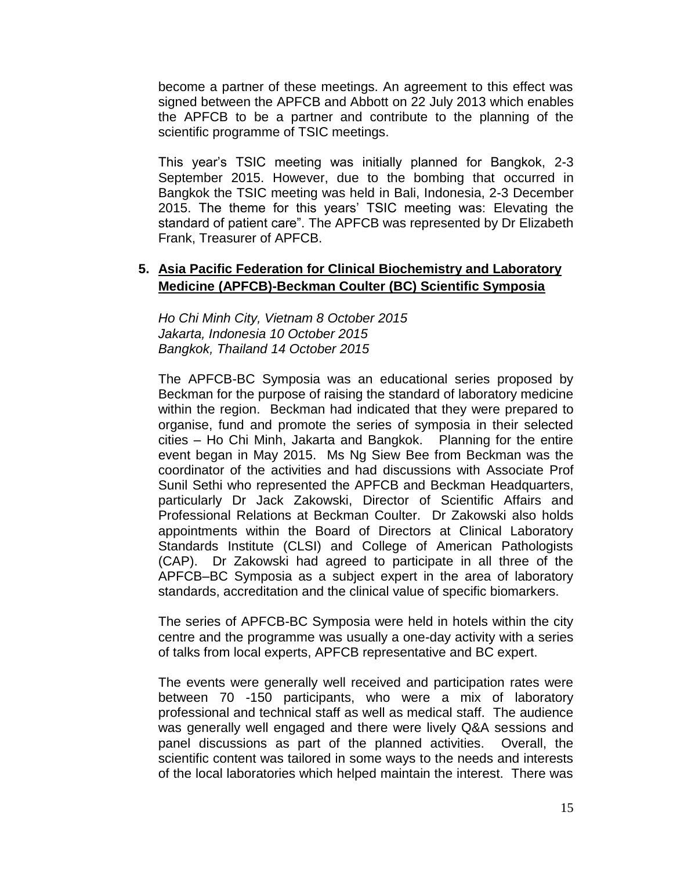become a partner of these meetings. An agreement to this effect was signed between the APFCB and Abbott on 22 July 2013 which enables the APFCB to be a partner and contribute to the planning of the scientific programme of TSIC meetings.

This year's TSIC meeting was initially planned for Bangkok, 2-3 September 2015. However, due to the bombing that occurred in Bangkok the TSIC meeting was held in Bali, Indonesia, 2-3 December 2015. The theme for this years' TSIC meeting was: Elevating the standard of patient care". The APFCB was represented by Dr Elizabeth Frank, Treasurer of APFCB.

## **5. Asia Pacific Federation for Clinical Biochemistry and Laboratory Medicine (APFCB)-Beckman Coulter (BC) Scientific Symposia**

*Ho Chi Minh City, Vietnam 8 October 2015 Jakarta, Indonesia 10 October 2015 Bangkok, Thailand 14 October 2015*

The APFCB-BC Symposia was an educational series proposed by Beckman for the purpose of raising the standard of laboratory medicine within the region. Beckman had indicated that they were prepared to organise, fund and promote the series of symposia in their selected cities – Ho Chi Minh, Jakarta and Bangkok. Planning for the entire event began in May 2015. Ms Ng Siew Bee from Beckman was the coordinator of the activities and had discussions with Associate Prof Sunil Sethi who represented the APFCB and Beckman Headquarters, particularly Dr Jack Zakowski, Director of Scientific Affairs and Professional Relations at Beckman Coulter. Dr Zakowski also holds appointments within the Board of Directors at Clinical Laboratory Standards Institute (CLSI) and College of American Pathologists (CAP). Dr Zakowski had agreed to participate in all three of the APFCB–BC Symposia as a subject expert in the area of laboratory standards, accreditation and the clinical value of specific biomarkers.

The series of APFCB-BC Symposia were held in hotels within the city centre and the programme was usually a one-day activity with a series of talks from local experts, APFCB representative and BC expert.

The events were generally well received and participation rates were between 70 -150 participants, who were a mix of laboratory professional and technical staff as well as medical staff. The audience was generally well engaged and there were lively Q&A sessions and panel discussions as part of the planned activities. Overall, the scientific content was tailored in some ways to the needs and interests of the local laboratories which helped maintain the interest. There was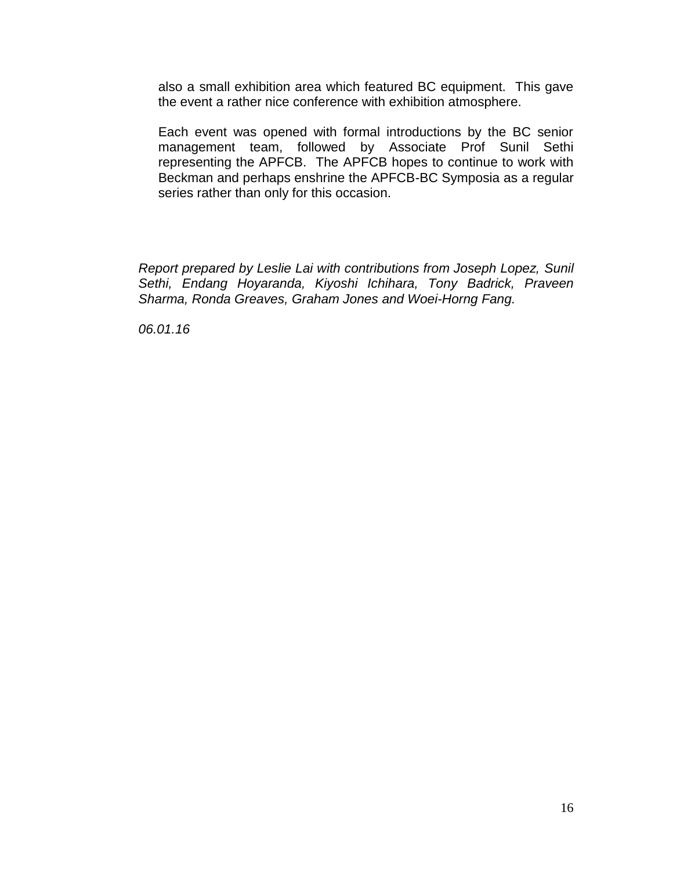also a small exhibition area which featured BC equipment. This gave the event a rather nice conference with exhibition atmosphere.

Each event was opened with formal introductions by the BC senior management team, followed by Associate Prof Sunil Sethi representing the APFCB. The APFCB hopes to continue to work with Beckman and perhaps enshrine the APFCB-BC Symposia as a regular series rather than only for this occasion.

*Report prepared by Leslie Lai with contributions from Joseph Lopez, Sunil Sethi, Endang Hoyaranda, Kiyoshi Ichihara, Tony Badrick, Praveen Sharma, Ronda Greaves, Graham Jones and Woei-Horng Fang.*

*06.01.16*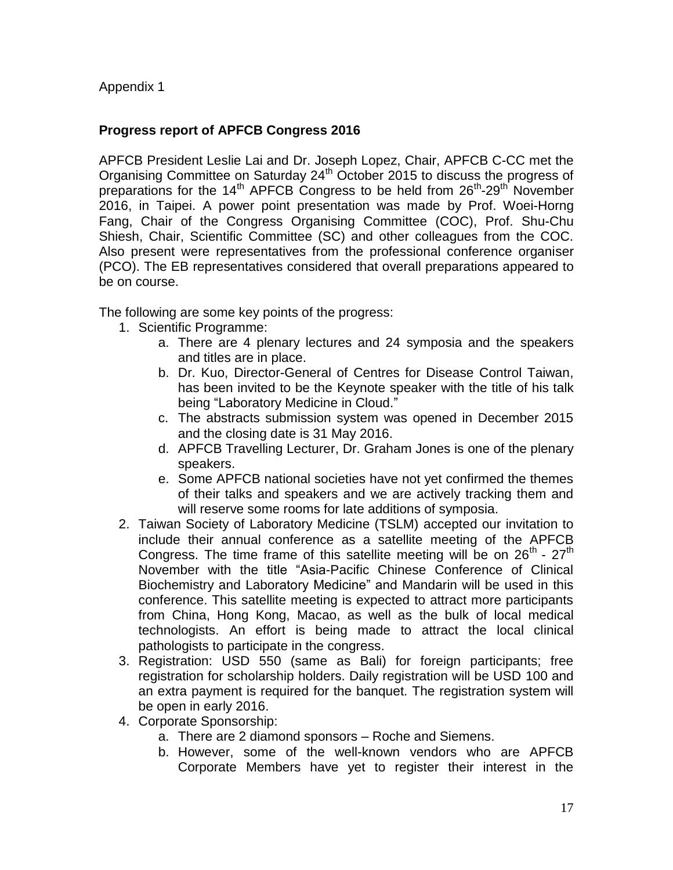Appendix 1

# **Progress report of APFCB Congress 2016**

APFCB President Leslie Lai and Dr. Joseph Lopez, Chair, APFCB C-CC met the Organising Committee on Saturday 24<sup>th</sup> October 2015 to discuss the progress of preparations for the 14<sup>th</sup> APFCB Congress to be held from 26<sup>th</sup>-29<sup>th</sup> November 2016, in Taipei. A power point presentation was made by Prof. Woei-Horng Fang, Chair of the Congress Organising Committee (COC), Prof. Shu-Chu Shiesh, Chair, Scientific Committee (SC) and other colleagues from the COC. Also present were representatives from the professional conference organiser (PCO). The EB representatives considered that overall preparations appeared to be on course.

The following are some key points of the progress:

- 1. Scientific Programme:
	- a. There are 4 plenary lectures and 24 symposia and the speakers and titles are in place.
	- b. Dr. Kuo, Director-General of Centres for Disease Control Taiwan, has been invited to be the Keynote speaker with the title of his talk being "Laboratory Medicine in Cloud."
	- c. The abstracts submission system was opened in December 2015 and the closing date is 31 May 2016.
	- d. APFCB Travelling Lecturer, Dr. Graham Jones is one of the plenary speakers.
	- e. Some APFCB national societies have not yet confirmed the themes of their talks and speakers and we are actively tracking them and will reserve some rooms for late additions of symposia.
- 2. Taiwan Society of Laboratory Medicine (TSLM) accepted our invitation to include their annual conference as a satellite meeting of the APFCB Congress. The time frame of this satellite meeting will be on  $26^{th}$  -  $27^{th}$ November with the title "Asia-Pacific Chinese Conference of Clinical Biochemistry and Laboratory Medicine" and Mandarin will be used in this conference. This satellite meeting is expected to attract more participants from China, Hong Kong, Macao, as well as the bulk of local medical technologists. An effort is being made to attract the local clinical pathologists to participate in the congress.
- 3. Registration: USD 550 (same as Bali) for foreign participants; free registration for scholarship holders. Daily registration will be USD 100 and an extra payment is required for the banquet. The registration system will be open in early 2016.
- 4. Corporate Sponsorship:
	- a. There are 2 diamond sponsors Roche and Siemens.
	- b. However, some of the well-known vendors who are APFCB Corporate Members have yet to register their interest in the